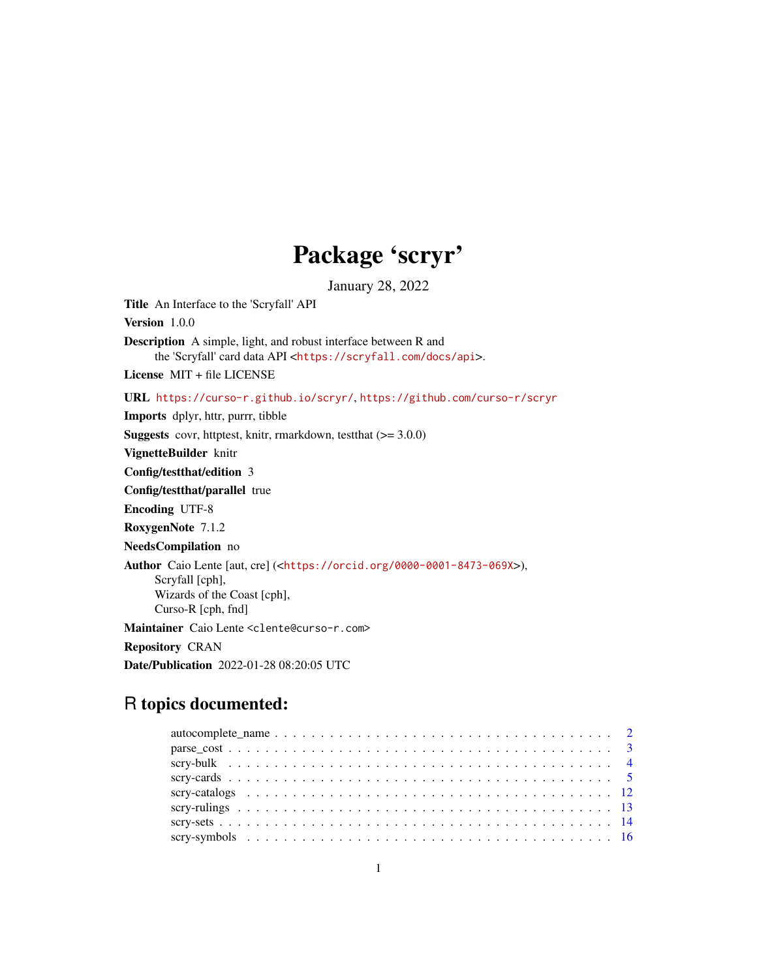## Package 'scryr'

January 28, 2022

Title An Interface to the 'Scryfall' API

Version 1.0.0

Description A simple, light, and robust interface between R and the 'Scryfall' card data API <<https://scryfall.com/docs/api>>.

License MIT + file LICENSE

URL <https://curso-r.github.io/scryr/>, <https://github.com/curso-r/scryr>

Imports dplyr, httr, purrr, tibble

Suggests covr, httptest, knitr, rmarkdown, testthat (>= 3.0.0)

VignetteBuilder knitr

Config/testthat/edition 3

Config/testthat/parallel true

Encoding UTF-8

RoxygenNote 7.1.2

NeedsCompilation no

Author Caio Lente [aut, cre] (<<https://orcid.org/0000-0001-8473-069X>>),

Scryfall [cph], Wizards of the Coast [cph],

Curso-R [cph, fnd]

Maintainer Caio Lente <clente@curso-r.com>

Repository CRAN

Date/Publication 2022-01-28 08:20:05 UTC

## R topics documented: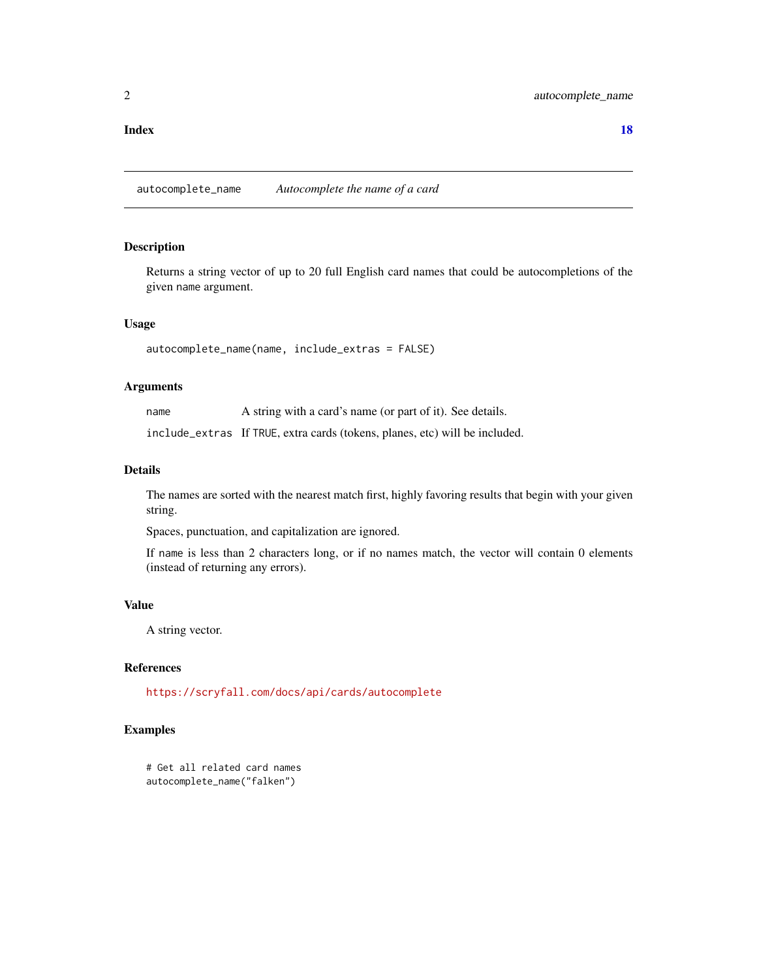#### <span id="page-1-0"></span>**Index** 2008 **[18](#page-17-0)**

autocomplete\_name *Autocomplete the name of a card*

## Description

Returns a string vector of up to 20 full English card names that could be autocompletions of the given name argument.

## Usage

autocomplete\_name(name, include\_extras = FALSE)

## Arguments

name A string with a card's name (or part of it). See details.

include\_extras If TRUE, extra cards (tokens, planes, etc) will be included.

## Details

The names are sorted with the nearest match first, highly favoring results that begin with your given string.

Spaces, punctuation, and capitalization are ignored.

If name is less than 2 characters long, or if no names match, the vector will contain 0 elements (instead of returning any errors).

## Value

A string vector.

## References

<https://scryfall.com/docs/api/cards/autocomplete>

### Examples

```
# Get all related card names
autocomplete_name("falken")
```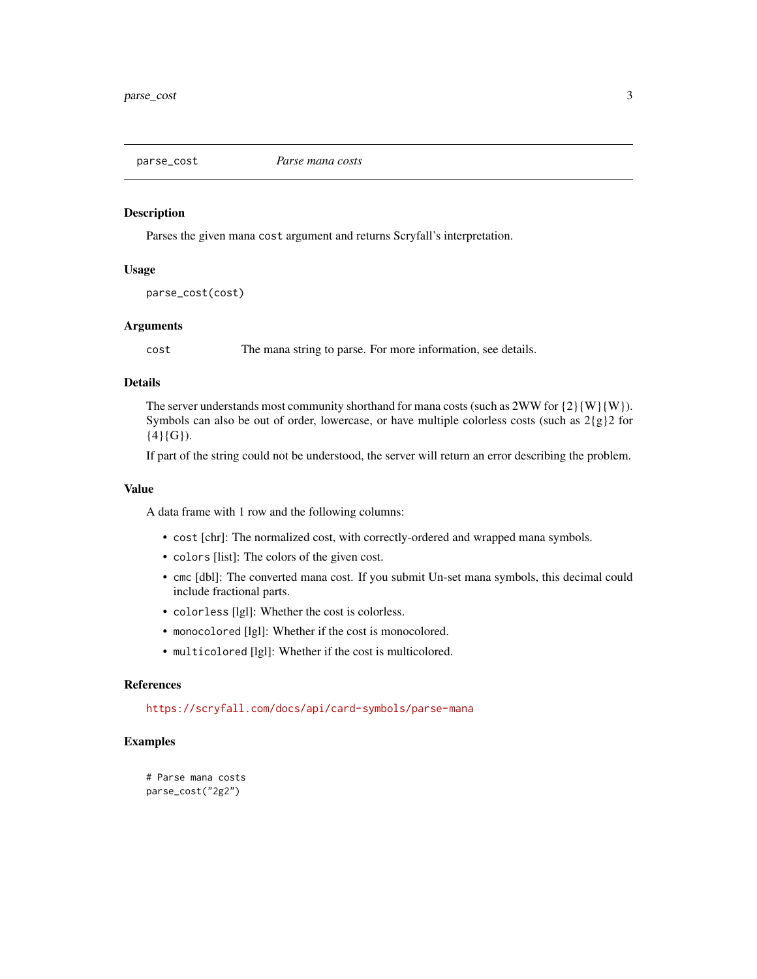<span id="page-2-0"></span>

#### Description

Parses the given mana cost argument and returns Scryfall's interpretation.

## Usage

parse\_cost(cost)

## Arguments

cost The mana string to parse. For more information, see details.

## Details

The server understands most community shorthand for mana costs (such as  $2WW$  for  $\{2\}$ {W}{W}). Symbols can also be out of order, lowercase, or have multiple colorless costs (such as  $2{g}{2}$  for  ${4}{G}.$ 

If part of the string could not be understood, the server will return an error describing the problem.

#### Value

A data frame with 1 row and the following columns:

- cost [chr]: The normalized cost, with correctly-ordered and wrapped mana symbols.
- colors [list]: The colors of the given cost.
- cmc [dbl]: The converted mana cost. If you submit Un-set mana symbols, this decimal could include fractional parts.
- colorless [lgl]: Whether the cost is colorless.
- monocolored [lgl]: Whether if the cost is monocolored.
- multicolored [lgl]: Whether if the cost is multicolored.

#### References

<https://scryfall.com/docs/api/card-symbols/parse-mana>

## Examples

```
# Parse mana costs
parse_cost("2g2")
```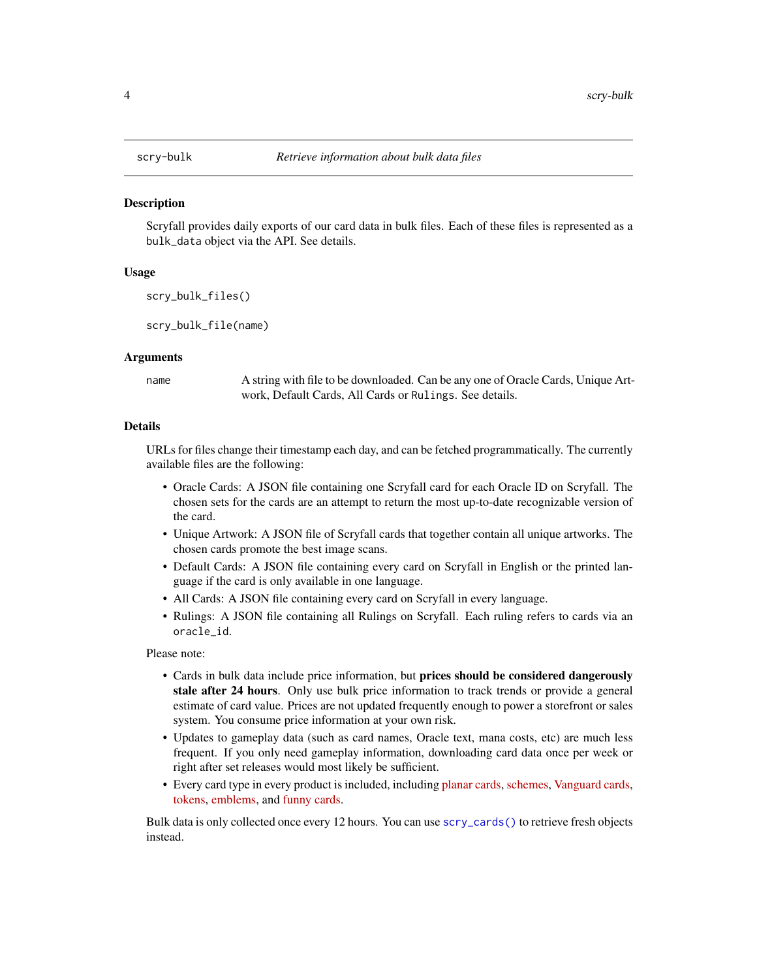<span id="page-3-0"></span>

## **Description**

Scryfall provides daily exports of our card data in bulk files. Each of these files is represented as a bulk\_data object via the API. See details.

#### Usage

scry\_bulk\_files()

scry\_bulk\_file(name)

#### Arguments

name A string with file to be downloaded. Can be any one of Oracle Cards, Unique Artwork, Default Cards, All Cards or Rulings. See details.

#### Details

URLs for files change their timestamp each day, and can be fetched programmatically. The currently available files are the following:

- Oracle Cards: A JSON file containing one Scryfall card for each Oracle ID on Scryfall. The chosen sets for the cards are an attempt to return the most up-to-date recognizable version of the card.
- Unique Artwork: A JSON file of Scryfall cards that together contain all unique artworks. The chosen cards promote the best image scans.
- Default Cards: A JSON file containing every card on Scryfall in English or the printed language if the card is only available in one language.
- All Cards: A JSON file containing every card on Scryfall in every language.
- Rulings: A JSON file containing all Rulings on Scryfall. Each ruling refers to cards via an oracle\_id.

Please note:

- Cards in bulk data include price information, but prices should be considered dangerously stale after 24 hours. Only use bulk price information to track trends or provide a general estimate of card value. Prices are not updated frequently enough to power a storefront or sales system. You consume price information at your own risk.
- Updates to gameplay data (such as card names, Oracle text, mana costs, etc) are much less frequent. If you only need gameplay information, downloading card data once per week or right after set releases would most likely be sufficient.
- Every card type in every product is included, including [planar cards,](https://scryfall.com/search?q=t%3Aplane+or+t%3Aphenom) [schemes,](https://scryfall.com/search?q=t%3Ascheme) [Vanguard cards,](https://scryfall.com/search?q=t%3Avanguard) [tokens,](https://scryfall.com/search?q=t%3Atoken) [emblems,](https://scryfall.com/search?q=t%3Aemblem) and [funny cards.](https://scryfall.com/search?q=is%3Afunny)

Bulk data is only collected once every 12 hours. You can use [scry\\_cards\(\)](#page-4-1) to retrieve fresh objects instead.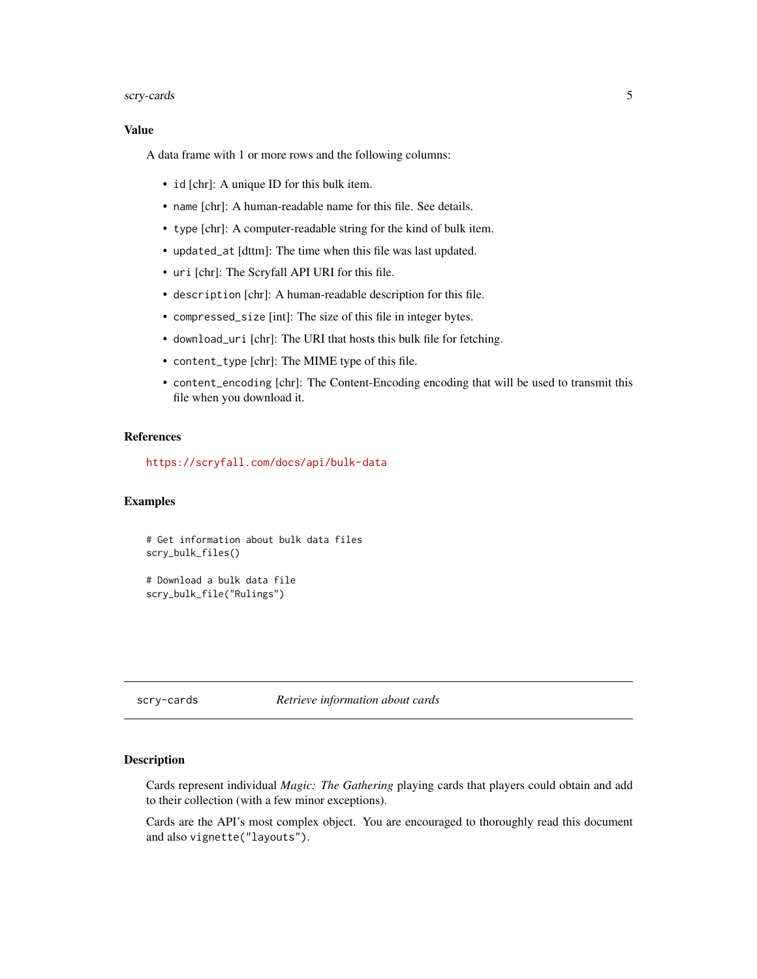#### <span id="page-4-0"></span>scry-cards 5

#### Value

A data frame with 1 or more rows and the following columns:

- id [chr]: A unique ID for this bulk item.
- name [chr]: A human-readable name for this file. See details.
- type [chr]: A computer-readable string for the kind of bulk item.
- updated\_at [dttm]: The time when this file was last updated.
- uri [chr]: The Scryfall API URI for this file.
- description [chr]: A human-readable description for this file.
- compressed\_size [int]: The size of this file in integer bytes.
- download\_uri [chr]: The URI that hosts this bulk file for fetching.
- content\_type [chr]: The MIME type of this file.
- content\_encoding [chr]: The Content-Encoding encoding that will be used to transmit this file when you download it.

#### References

<https://scryfall.com/docs/api/bulk-data>

#### Examples

```
# Get information about bulk data files
scry_bulk_files()
```
# Download a bulk data file scry\_bulk\_file("Rulings")

scry-cards *Retrieve information about cards*

#### <span id="page-4-1"></span>Description

Cards represent individual *Magic: The Gathering* playing cards that players could obtain and add to their collection (with a few minor exceptions).

Cards are the API's most complex object. You are encouraged to thoroughly read this document and also vignette("layouts").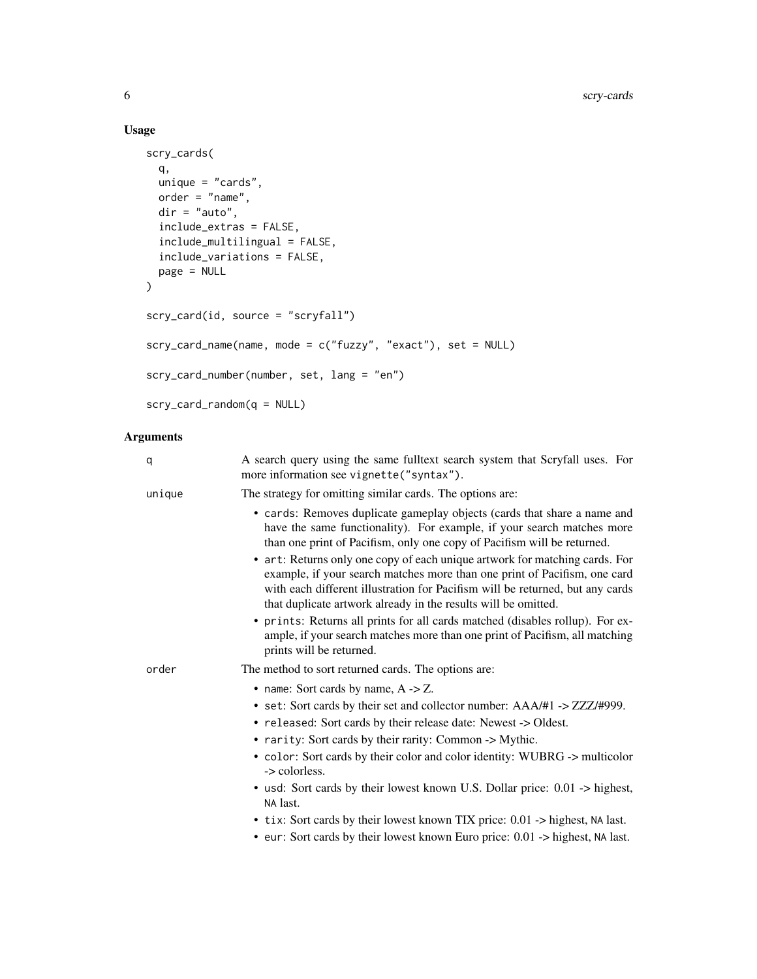## Usage

```
scry_cards(
  q,
 unique = "cards",
 order = "name",dir = "auto",include_extras = FALSE,
  include_multilingual = FALSE,
  include_variations = FALSE,
 page = NULL
\mathcal{L}scry_card(id, source = "scryfall")
scry_card_name(name, mode = c("fuzzy", "exact"), set = NULL)
scry_card_number(number, set, lang = "en")
scry_card_random(q = NULL)
```
## Arguments

| q      | A search query using the same fulltext search system that Scryfall uses. For<br>more information see vignette("syntax").                                                                                                                                                                                    |
|--------|-------------------------------------------------------------------------------------------------------------------------------------------------------------------------------------------------------------------------------------------------------------------------------------------------------------|
| unique | The strategy for omitting similar cards. The options are:                                                                                                                                                                                                                                                   |
|        | • cards: Removes duplicate gameplay objects (cards that share a name and<br>have the same functionality). For example, if your search matches more<br>than one print of Pacifism, only one copy of Pacifism will be returned.                                                                               |
|        | • art: Returns only one copy of each unique artwork for matching cards. For<br>example, if your search matches more than one print of Pacifism, one card<br>with each different illustration for Pacifism will be returned, but any cards<br>that duplicate artwork already in the results will be omitted. |
|        | • prints: Returns all prints for all cards matched (disables rollup). For ex-<br>ample, if your search matches more than one print of Pacifism, all matching<br>prints will be returned.                                                                                                                    |
| order  | The method to sort returned cards. The options are:                                                                                                                                                                                                                                                         |
|        | • name: Sort cards by name, $A \rightarrow Z$ .                                                                                                                                                                                                                                                             |
|        | • set: Sort cards by their set and collector number: AAA/#1 -> ZZZ/#999.<br>• released: Sort cards by their release date: Newest -> Oldest.                                                                                                                                                                 |
|        | • rarity: Sort cards by their rarity: Common -> Mythic.                                                                                                                                                                                                                                                     |
|        | • color: Sort cards by their color and color identity: WUBRG -> multicolor<br>-> colorless.                                                                                                                                                                                                                 |
|        | • usd: Sort cards by their lowest known U.S. Dollar price: 0.01 -> highest,<br>NA last.                                                                                                                                                                                                                     |
|        | • tix: Sort cards by their lowest known TIX price: $0.01 \rightarrow$ highest, NA last.                                                                                                                                                                                                                     |
|        | • eur: Sort cards by their lowest known Euro price: 0.01 -> highest, NA last.                                                                                                                                                                                                                               |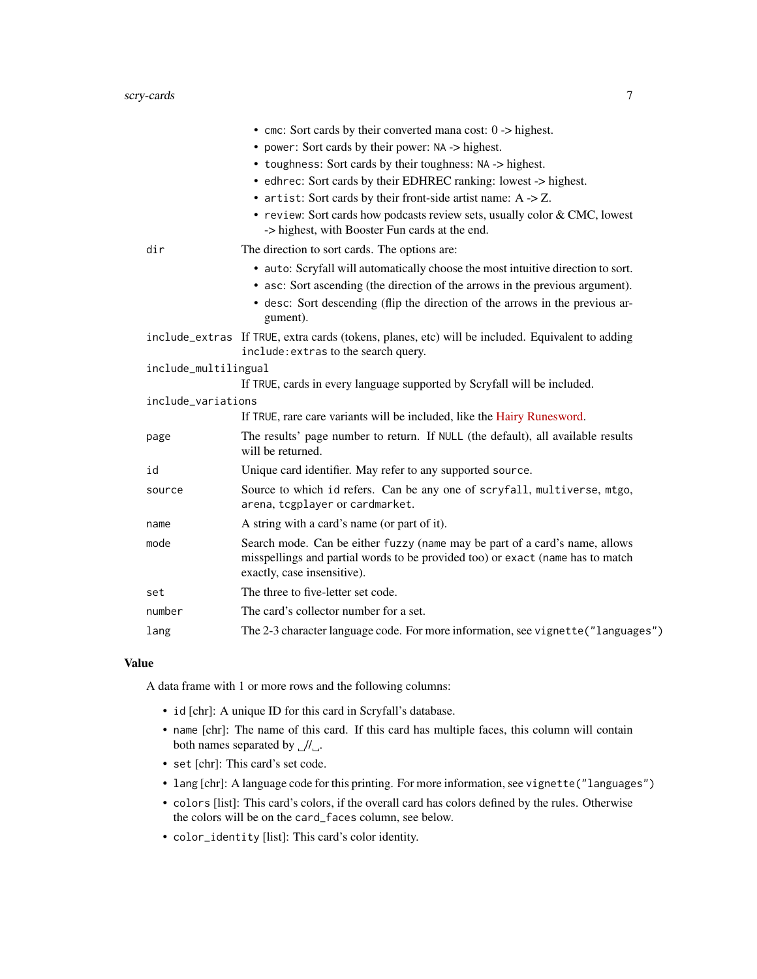## scry-cards 7

|                      | • cmc: Sort cards by their converted mana cost: $0 \rightarrow$ highest.                                                                                                                                                                                       |
|----------------------|----------------------------------------------------------------------------------------------------------------------------------------------------------------------------------------------------------------------------------------------------------------|
|                      | • power: Sort cards by their power: NA -> highest.                                                                                                                                                                                                             |
|                      | • toughness: Sort cards by their toughness: NA -> highest.                                                                                                                                                                                                     |
|                      | • edhrec: Sort cards by their EDHREC ranking: lowest -> highest.                                                                                                                                                                                               |
|                      | • artist: Sort cards by their front-side artist name: $A \rightarrow Z$ .                                                                                                                                                                                      |
|                      | • review: Sort cards how podcasts review sets, usually color & CMC, lowest<br>-> highest, with Booster Fun cards at the end.                                                                                                                                   |
| dir                  | The direction to sort cards. The options are:                                                                                                                                                                                                                  |
|                      | • auto: Scryfall will automatically choose the most intuitive direction to sort.<br>• asc: Sort ascending (the direction of the arrows in the previous argument).<br>· desc: Sort descending (flip the direction of the arrows in the previous ar-<br>gument). |
|                      | include_extras If TRUE, extra cards (tokens, planes, etc) will be included. Equivalent to adding<br>include: extras to the search query.                                                                                                                       |
| include_multilingual |                                                                                                                                                                                                                                                                |
|                      | If TRUE, cards in every language supported by Scryfall will be included.                                                                                                                                                                                       |
| include_variations   |                                                                                                                                                                                                                                                                |
|                      | If TRUE, rare care variants will be included, like the Hairy Runesword.                                                                                                                                                                                        |
| page                 | The results' page number to return. If NULL (the default), all available results<br>will be returned.                                                                                                                                                          |
| id                   | Unique card identifier. May refer to any supported source.                                                                                                                                                                                                     |
| source               | Source to which id refers. Can be any one of scryfall, multiverse, mtgo,<br>arena, tcgplayer or cardmarket.                                                                                                                                                    |
| name                 | A string with a card's name (or part of it).                                                                                                                                                                                                                   |
| mode                 | Search mode. Can be either fuzzy (name may be part of a card's name, allows<br>misspellings and partial words to be provided too) or exact (name has to match<br>exactly, case insensitive).                                                                   |
| set                  | The three to five-letter set code.                                                                                                                                                                                                                             |
| number               | The card's collector number for a set.                                                                                                                                                                                                                         |
| lang                 | The 2-3 character language code. For more information, see vignette ("languages")                                                                                                                                                                              |

#### Value

A data frame with 1 or more rows and the following columns:

- id [chr]: A unique ID for this card in Scryfall's database.
- name [chr]: The name of this card. If this card has multiple faces, this column will contain both names separated by  $J/L$ .
- set [chr]: This card's set code.
- lang [chr]: A language code for this printing. For more information, see vignette("languages")
- colors [list]: This card's colors, if the overall card has colors defined by the rules. Otherwise the colors will be on the card\_faces column, see below.
- color\_identity [list]: This card's color identity.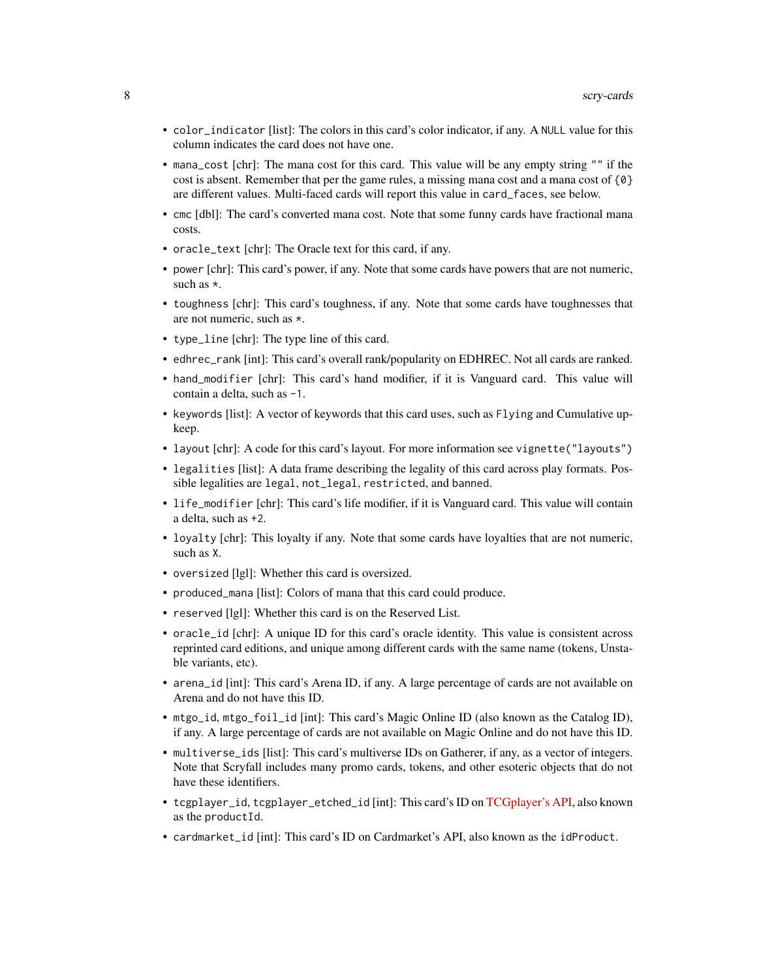- color\_indicator [list]: The colors in this card's color indicator, if any. A NULL value for this column indicates the card does not have one.
- mana\_cost [chr]: The mana cost for this card. This value will be any empty string "" if the cost is absent. Remember that per the game rules, a missing mana cost and a mana cost of  $\{0\}$ are different values. Multi-faced cards will report this value in card\_faces, see below.
- cmc [dbl]: The card's converted mana cost. Note that some funny cards have fractional mana costs.
- oracle\_text [chr]: The Oracle text for this card, if any.
- power [chr]: This card's power, if any. Note that some cards have powers that are not numeric, such as \*.
- toughness [chr]: This card's toughness, if any. Note that some cards have toughnesses that are not numeric, such as \*.
- type\_line [chr]: The type line of this card.
- edhrec\_rank [int]: This card's overall rank/popularity on EDHREC. Not all cards are ranked.
- hand\_modifier [chr]: This card's hand modifier, if it is Vanguard card. This value will contain a delta, such as -1.
- keywords [list]: A vector of keywords that this card uses, such as Flying and Cumulative upkeep.
- layout [chr]: A code for this card's layout. For more information see vignette("layouts")
- legalities [list]: A data frame describing the legality of this card across play formats. Possible legalities are legal, not\_legal, restricted, and banned.
- life\_modifier [chr]: This card's life modifier, if it is Vanguard card. This value will contain a delta, such as +2.
- loyalty [chr]: This loyalty if any. Note that some cards have loyalties that are not numeric, such as X.
- oversized [lgl]: Whether this card is oversized.
- produced\_mana [list]: Colors of mana that this card could produce.
- reserved [lgl]: Whether this card is on the Reserved List.
- oracle\_id [chr]: A unique ID for this card's oracle identity. This value is consistent across reprinted card editions, and unique among different cards with the same name (tokens, Unstable variants, etc).
- arena\_id [int]: This card's Arena ID, if any. A large percentage of cards are not available on Arena and do not have this ID.
- mtgo\_id, mtgo\_foil\_id [int]: This card's Magic Online ID (also known as the Catalog ID), if any. A large percentage of cards are not available on Magic Online and do not have this ID.
- multiverse\_ids [list]: This card's multiverse IDs on Gatherer, if any, as a vector of integers. Note that Scryfall includes many promo cards, tokens, and other esoteric objects that do not have these identifiers.
- tcgplayer\_id, tcgplayer\_etched\_id [int]: This card's ID on [TCGplayer's API,](https://docs.tcgplayer.com/docs) also known as the productId.
- cardmarket\_id [int]: This card's ID on Cardmarket's API, also known as the idProduct.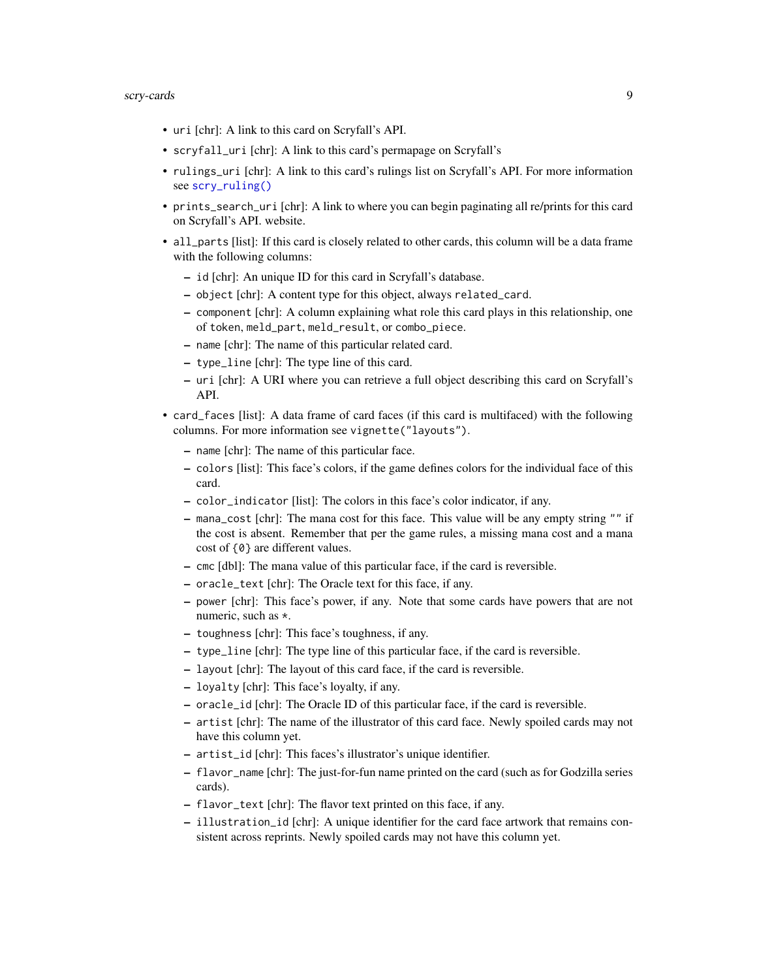- <span id="page-8-0"></span>• uri [chr]: A link to this card on Scryfall's API.
- scryfall\_uri [chr]: A link to this card's permapage on Scryfall's
- rulings\_uri [chr]: A link to this card's rulings list on Scryfall's API. For more information see [scry\\_ruling\(\)](#page-12-1)
- prints\_search\_uri [chr]: A link to where you can begin paginating all re/prints for this card on Scryfall's API. website.
- all\_parts [list]: If this card is closely related to other cards, this column will be a data frame with the following columns:
	- id [chr]: An unique ID for this card in Scryfall's database.
	- object [chr]: A content type for this object, always related\_card.
	- component [chr]: A column explaining what role this card plays in this relationship, one of token, meld\_part, meld\_result, or combo\_piece.
	- name [chr]: The name of this particular related card.
	- type\_line [chr]: The type line of this card.
	- uri [chr]: A URI where you can retrieve a full object describing this card on Scryfall's API.
- card\_faces [list]: A data frame of card faces (if this card is multifaced) with the following columns. For more information see vignette("layouts").
	- name [chr]: The name of this particular face.
	- colors [list]: This face's colors, if the game defines colors for the individual face of this card.
	- color\_indicator [list]: The colors in this face's color indicator, if any.
	- mana\_cost [chr]: The mana cost for this face. This value will be any empty string "" if the cost is absent. Remember that per the game rules, a missing mana cost and a mana cost of {0} are different values.
	- cmc [dbl]: The mana value of this particular face, if the card is reversible.
	- oracle\_text [chr]: The Oracle text for this face, if any.
	- power [chr]: This face's power, if any. Note that some cards have powers that are not numeric, such as \*.
	- toughness [chr]: This face's toughness, if any.
	- type\_line [chr]: The type line of this particular face, if the card is reversible.
	- layout [chr]: The layout of this card face, if the card is reversible.
	- loyalty [chr]: This face's loyalty, if any.
	- oracle\_id [chr]: The Oracle ID of this particular face, if the card is reversible.
	- artist [chr]: The name of the illustrator of this card face. Newly spoiled cards may not have this column yet.
	- artist\_id [chr]: This faces's illustrator's unique identifier.
	- flavor\_name [chr]: The just-for-fun name printed on the card (such as for Godzilla series cards).
	- flavor\_text [chr]: The flavor text printed on this face, if any.
	- illustration\_id [chr]: A unique identifier for the card face artwork that remains consistent across reprints. Newly spoiled cards may not have this column yet.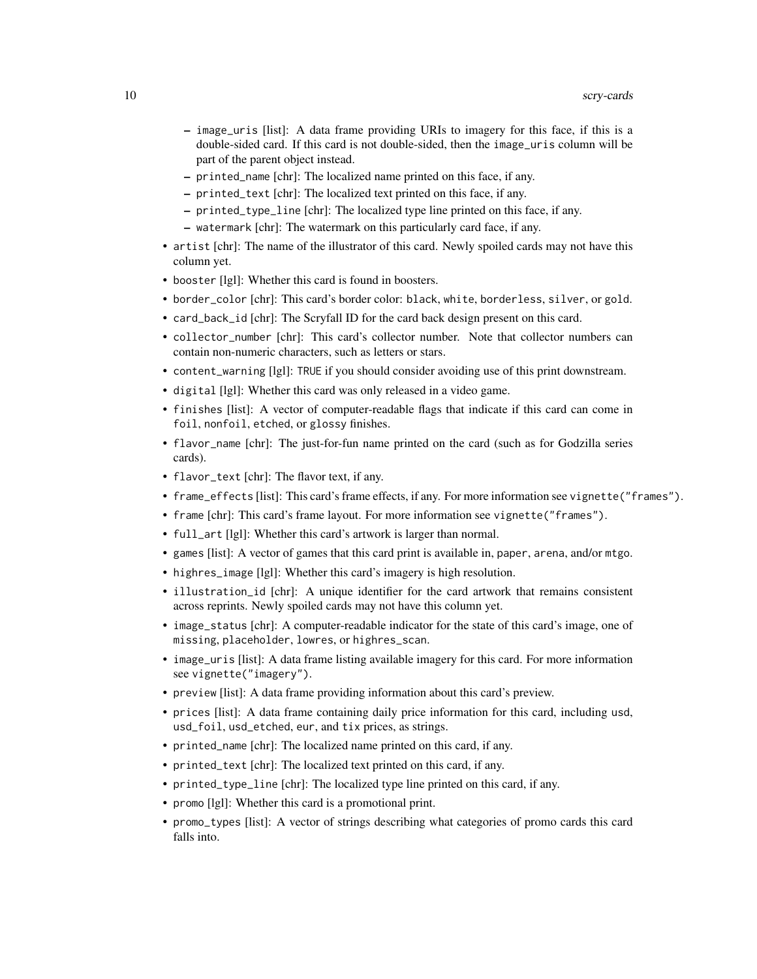- image\_uris [list]: A data frame providing URIs to imagery for this face, if this is a double-sided card. If this card is not double-sided, then the image\_uris column will be part of the parent object instead.
- printed\_name [chr]: The localized name printed on this face, if any.
- printed\_text [chr]: The localized text printed on this face, if any.
- printed\_type\_line [chr]: The localized type line printed on this face, if any.
- watermark [chr]: The watermark on this particularly card face, if any.
- artist [chr]: The name of the illustrator of this card. Newly spoiled cards may not have this column yet.
- booster [lgl]: Whether this card is found in boosters.
- border\_color [chr]: This card's border color: black, white, borderless, silver, or gold.
- card\_back\_id [chr]: The Scryfall ID for the card back design present on this card.
- collector\_number [chr]: This card's collector number. Note that collector numbers can contain non-numeric characters, such as letters or stars.
- content\_warning [lgl]: TRUE if you should consider avoiding use of this print downstream.
- digital [lgl]: Whether this card was only released in a video game.
- finishes [list]: A vector of computer-readable flags that indicate if this card can come in foil, nonfoil, etched, or glossy finishes.
- flavor\_name [chr]: The just-for-fun name printed on the card (such as for Godzilla series cards).
- flavor\_text [chr]: The flavor text, if any.
- frame\_effects [list]: This card's frame effects, if any. For more information see vignette("frames").
- frame [chr]: This card's frame layout. For more information see vignette("frames").
- full\_art [lgl]: Whether this card's artwork is larger than normal.
- games [list]: A vector of games that this card print is available in, paper, arena, and/or mtgo.
- highres\_image [lgl]: Whether this card's imagery is high resolution.
- illustration\_id [chr]: A unique identifier for the card artwork that remains consistent across reprints. Newly spoiled cards may not have this column yet.
- image\_status [chr]: A computer-readable indicator for the state of this card's image, one of missing, placeholder, lowres, or highres\_scan.
- image\_uris [list]: A data frame listing available imagery for this card. For more information see vignette("imagery").
- preview [list]: A data frame providing information about this card's preview.
- prices [list]: A data frame containing daily price information for this card, including usd, usd\_foil, usd\_etched, eur, and tix prices, as strings.
- printed\_name [chr]: The localized name printed on this card, if any.
- printed\_text [chr]: The localized text printed on this card, if any.
- printed\_type\_line [chr]: The localized type line printed on this card, if any.
- promo [lgl]: Whether this card is a promotional print.
- promo\_types [list]: A vector of strings describing what categories of promo cards this card falls into.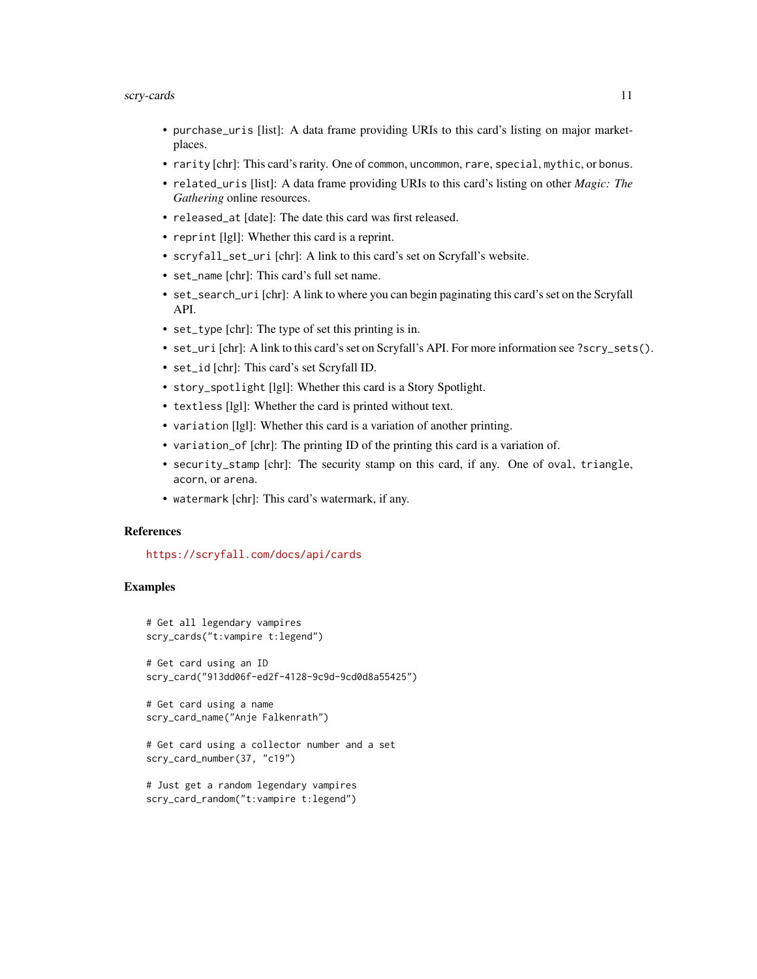#### scry-cards 11

- purchase\_uris [list]: A data frame providing URIs to this card's listing on major marketplaces.
- rarity [chr]: This card's rarity. One of common, uncommon, rare, special, mythic, or bonus.
- related\_uris [list]: A data frame providing URIs to this card's listing on other *Magic: The Gathering* online resources.
- released\_at [date]: The date this card was first released.
- reprint [lgl]: Whether this card is a reprint.
- scryfall\_set\_uri [chr]: A link to this card's set on Scryfall's website.
- set\_name [chr]: This card's full set name.
- set\_search\_uri [chr]: A link to where you can begin paginating this card's set on the Scryfall API.
- set\_type [chr]: The type of set this printing is in.
- set\_uri [chr]: A link to this card's set on Scryfall's API. For more information see ?scry\_sets().
- set\_id [chr]: This card's set Scryfall ID.
- story\_spotlight [lgl]: Whether this card is a Story Spotlight.
- textless [lgl]: Whether the card is printed without text.
- variation [lgl]: Whether this card is a variation of another printing.
- variation\_of [chr]: The printing ID of the printing this card is a variation of.
- security\_stamp [chr]: The security stamp on this card, if any. One of oval, triangle, acorn, or arena.
- watermark [chr]: This card's watermark, if any.

## References

<https://scryfall.com/docs/api/cards>

## Examples

```
# Get all legendary vampires
scry_cards("t:vampire t:legend")
# Get card using an ID
scry_card("913dd06f-ed2f-4128-9c9d-9cd0d8a55425")
# Get card using a name
scry_card_name("Anje Falkenrath")
```

```
# Get card using a collector number and a set
scry_card_number(37, "c19")
```

```
# Just get a random legendary vampires
scry_card_random("t:vampire t:legend")
```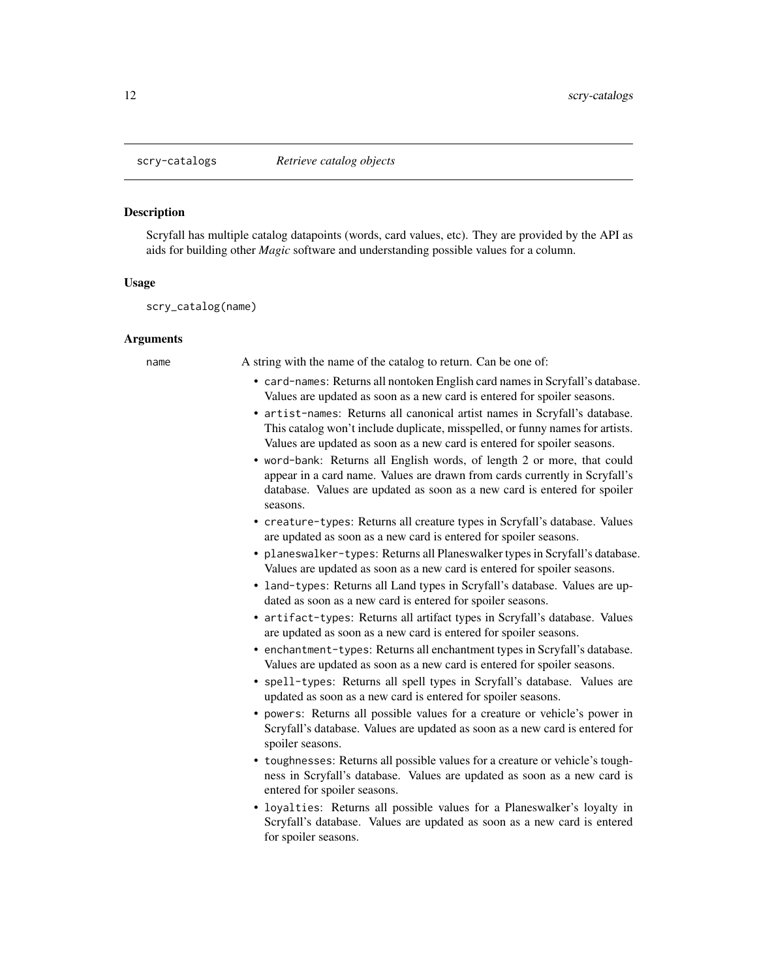<span id="page-11-0"></span>

#### **Description**

Scryfall has multiple catalog datapoints (words, card values, etc). They are provided by the API as aids for building other *Magic* software and understanding possible values for a column.

#### Usage

scry\_catalog(name)

#### Arguments

name A string with the name of the catalog to return. Can be one of:

- card-names: Returns all nontoken English card names in Scryfall's database. Values are updated as soon as a new card is entered for spoiler seasons.
- artist-names: Returns all canonical artist names in Scryfall's database. This catalog won't include duplicate, misspelled, or funny names for artists. Values are updated as soon as a new card is entered for spoiler seasons.
- word-bank: Returns all English words, of length 2 or more, that could appear in a card name. Values are drawn from cards currently in Scryfall's database. Values are updated as soon as a new card is entered for spoiler seasons.
- creature-types: Returns all creature types in Scryfall's database. Values are updated as soon as a new card is entered for spoiler seasons.
- planeswalker-types: Returns all Planeswalker types in Scryfall's database. Values are updated as soon as a new card is entered for spoiler seasons.
- land-types: Returns all Land types in Scryfall's database. Values are updated as soon as a new card is entered for spoiler seasons.
- artifact-types: Returns all artifact types in Scryfall's database. Values are updated as soon as a new card is entered for spoiler seasons.
- enchantment-types: Returns all enchantment types in Scryfall's database. Values are updated as soon as a new card is entered for spoiler seasons.
- spell-types: Returns all spell types in Scryfall's database. Values are updated as soon as a new card is entered for spoiler seasons.
- powers: Returns all possible values for a creature or vehicle's power in Scryfall's database. Values are updated as soon as a new card is entered for spoiler seasons.
- toughnesses: Returns all possible values for a creature or vehicle's toughness in Scryfall's database. Values are updated as soon as a new card is entered for spoiler seasons.
- loyalties: Returns all possible values for a Planeswalker's loyalty in Scryfall's database. Values are updated as soon as a new card is entered for spoiler seasons.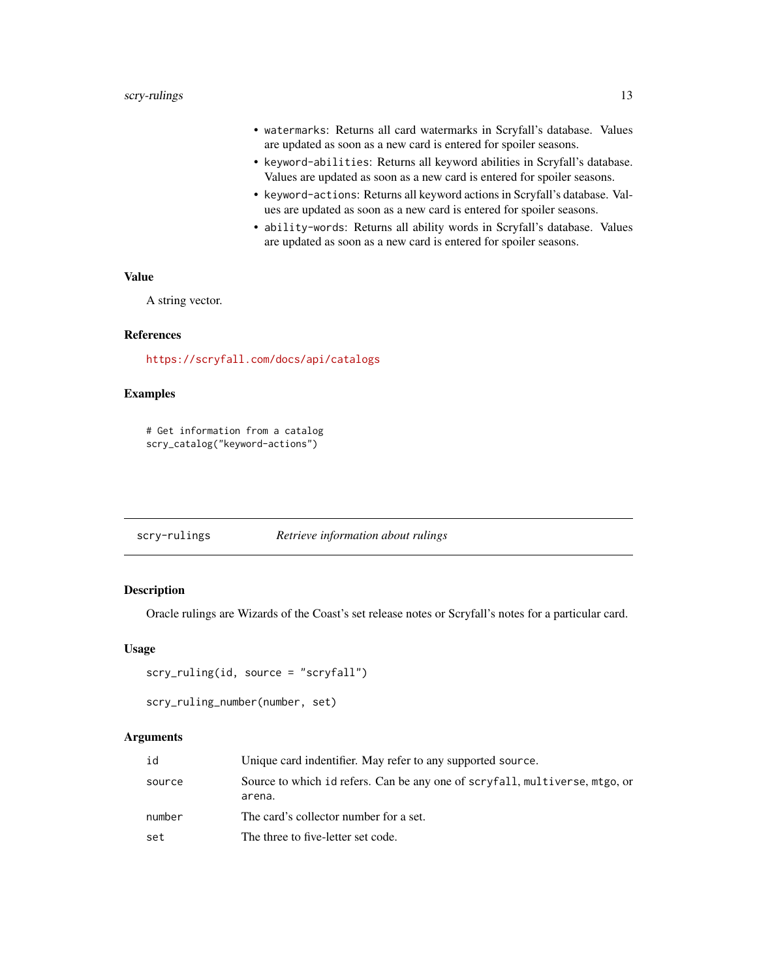- <span id="page-12-0"></span>• watermarks: Returns all card watermarks in Scryfall's database. Values are updated as soon as a new card is entered for spoiler seasons.
- keyword-abilities: Returns all keyword abilities in Scryfall's database. Values are updated as soon as a new card is entered for spoiler seasons.
- keyword-actions: Returns all keyword actions in Scryfall's database. Values are updated as soon as a new card is entered for spoiler seasons.
- ability-words: Returns all ability words in Scryfall's database. Values are updated as soon as a new card is entered for spoiler seasons.

#### Value

A string vector.

#### References

<https://scryfall.com/docs/api/catalogs>

## Examples

# Get information from a catalog scry\_catalog("keyword-actions")

| scry-rulings | Retrieve information about rulings |
|--------------|------------------------------------|
|              |                                    |

## <span id="page-12-1"></span>Description

Oracle rulings are Wizards of the Coast's set release notes or Scryfall's notes for a particular card.

#### Usage

```
scry_ruling(id, source = "scryfall")
```

```
scry_ruling_number(number, set)
```
#### **Arguments**

| id     | Unique card indentifier. May refer to any supported source.                           |
|--------|---------------------------------------------------------------------------------------|
| source | Source to which id refers. Can be any one of scryfall, multiverse, mtgo, or<br>arena. |
| number | The card's collector number for a set.                                                |
| set    | The three to five-letter set code.                                                    |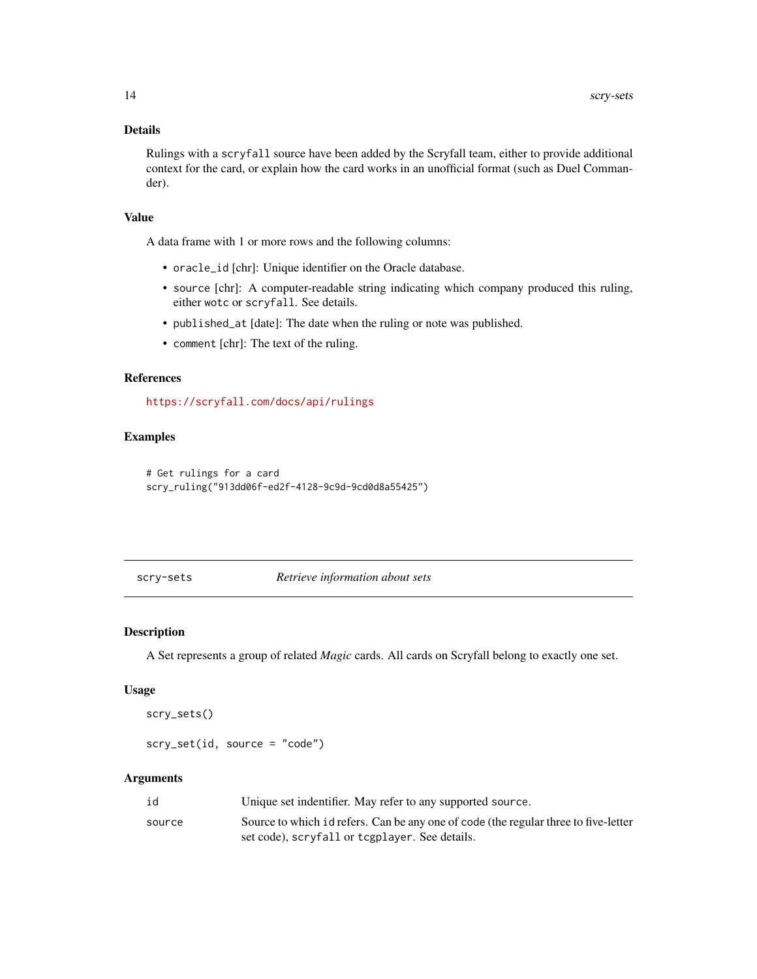## <span id="page-13-0"></span>Details

Rulings with a scryfall source have been added by the Scryfall team, either to provide additional context for the card, or explain how the card works in an unofficial format (such as Duel Commander).

## Value

A data frame with 1 or more rows and the following columns:

- oracle\_id [chr]: Unique identifier on the Oracle database.
- source [chr]: A computer-readable string indicating which company produced this ruling, either wotc or scryfall. See details.
- published\_at [date]: The date when the ruling or note was published.
- comment [chr]: The text of the ruling.

## References

<https://scryfall.com/docs/api/rulings>

## Examples

```
# Get rulings for a card
scry_ruling("913dd06f-ed2f-4128-9c9d-9cd0d8a55425")
```
scry-sets *Retrieve information about sets*

## Description

A Set represents a group of related *Magic* cards. All cards on Scryfall belong to exactly one set.

#### Usage

```
scry_sets()
```

```
scry_set(id, source = "code")
```
#### Arguments

| id     | Unique set indentifier. May refer to any supported source.                          |
|--------|-------------------------------------------------------------------------------------|
| source | Source to which id refers. Can be any one of code (the regular three to five-letter |
|        | set code), scryfall or tcgplayer. See details.                                      |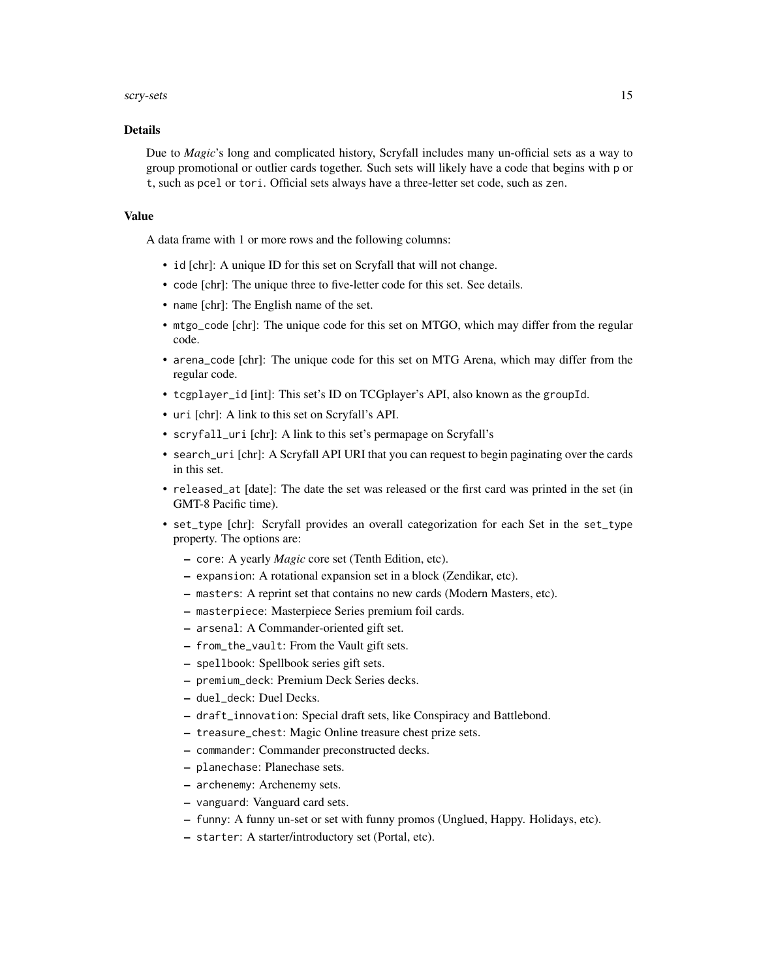#### scry-sets and the set of the set of the set of the set of the set of the set of the set of the set of the set of the set of the set of the set of the set of the set of the set of the set of the set of the set of the set of

#### Details

Due to *Magic*'s long and complicated history, Scryfall includes many un-official sets as a way to group promotional or outlier cards together. Such sets will likely have a code that begins with p or t, such as pcel or tori. Official sets always have a three-letter set code, such as zen.

## Value

A data frame with 1 or more rows and the following columns:

- id [chr]: A unique ID for this set on Scryfall that will not change.
- code [chr]: The unique three to five-letter code for this set. See details.
- name [chr]: The English name of the set.
- mtgo\_code [chr]: The unique code for this set on MTGO, which may differ from the regular code.
- arena\_code [chr]: The unique code for this set on MTG Arena, which may differ from the regular code.
- tcgplayer\_id [int]: This set's ID on TCGplayer's API, also known as the groupId.
- uri [chr]: A link to this set on Scryfall's API.
- scryfall\_uri [chr]: A link to this set's permapage on Scryfall's
- search\_uri [chr]: A Scryfall API URI that you can request to begin paginating over the cards in this set.
- released\_at [date]: The date the set was released or the first card was printed in the set (in GMT-8 Pacific time).
- set\_type [chr]: Scryfall provides an overall categorization for each Set in the set\_type property. The options are:
	- core: A yearly *Magic* core set (Tenth Edition, etc).
	- expansion: A rotational expansion set in a block (Zendikar, etc).
	- masters: A reprint set that contains no new cards (Modern Masters, etc).
	- masterpiece: Masterpiece Series premium foil cards.
	- arsenal: A Commander-oriented gift set.
	- from\_the\_vault: From the Vault gift sets.
	- spellbook: Spellbook series gift sets.
	- premium\_deck: Premium Deck Series decks.
	- duel\_deck: Duel Decks.
	- draft\_innovation: Special draft sets, like Conspiracy and Battlebond.
	- treasure\_chest: Magic Online treasure chest prize sets.
	- commander: Commander preconstructed decks.
	- planechase: Planechase sets.
	- archenemy: Archenemy sets.
	- vanguard: Vanguard card sets.
	- funny: A funny un-set or set with funny promos (Unglued, Happy. Holidays, etc).
	- starter: A starter/introductory set (Portal, etc).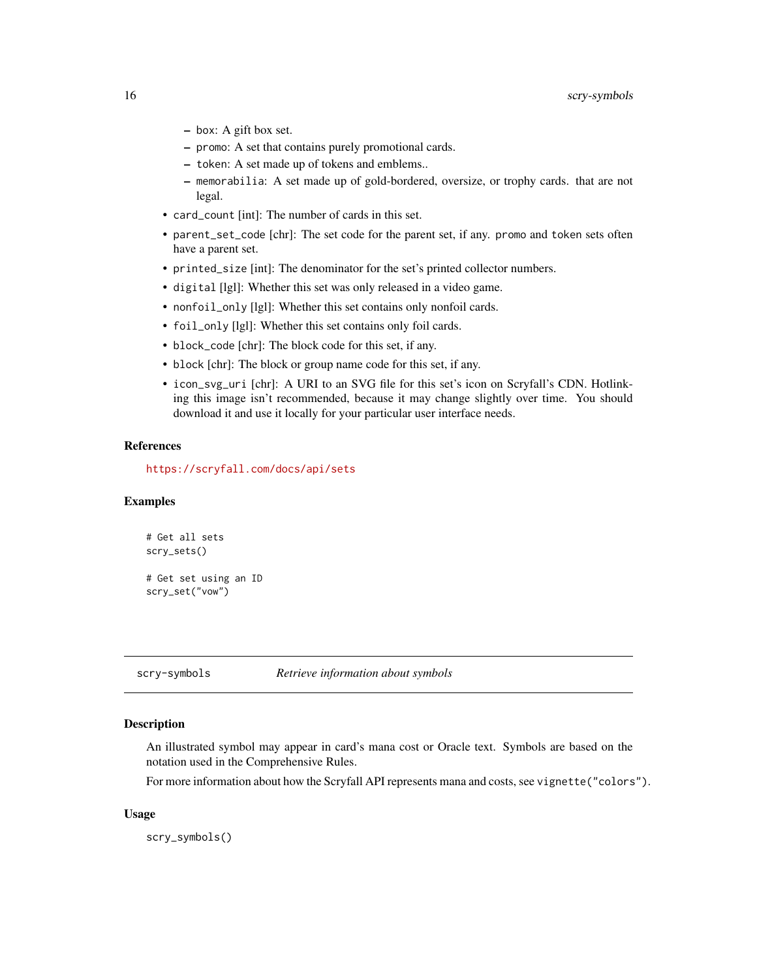- <span id="page-15-0"></span>– box: A gift box set.
- promo: A set that contains purely promotional cards.
- token: A set made up of tokens and emblems..
- memorabilia: A set made up of gold-bordered, oversize, or trophy cards. that are not legal.
- card\_count [int]: The number of cards in this set.
- parent\_set\_code [chr]: The set code for the parent set, if any. promo and token sets often have a parent set.
- printed\_size [int]: The denominator for the set's printed collector numbers.
- digital [lgl]: Whether this set was only released in a video game.
- nonfoil\_only [lgl]: Whether this set contains only nonfoil cards.
- foil\_only [lgl]: Whether this set contains only foil cards.
- block\_code [chr]: The block code for this set, if any.
- block [chr]: The block or group name code for this set, if any.
- icon\_svg\_uri [chr]: A URI to an SVG file for this set's icon on Scryfall's CDN. Hotlinking this image isn't recommended, because it may change slightly over time. You should download it and use it locally for your particular user interface needs.

#### References

<https://scryfall.com/docs/api/sets>

#### Examples

```
# Get all sets
scry_sets()
# Get set using an ID
scry_set("vow")
```
scry-symbols *Retrieve information about symbols*

#### **Description**

An illustrated symbol may appear in card's mana cost or Oracle text. Symbols are based on the notation used in the Comprehensive Rules.

For more information about how the Scryfall API represents mana and costs, see vignette("colors").

#### Usage

scry\_symbols()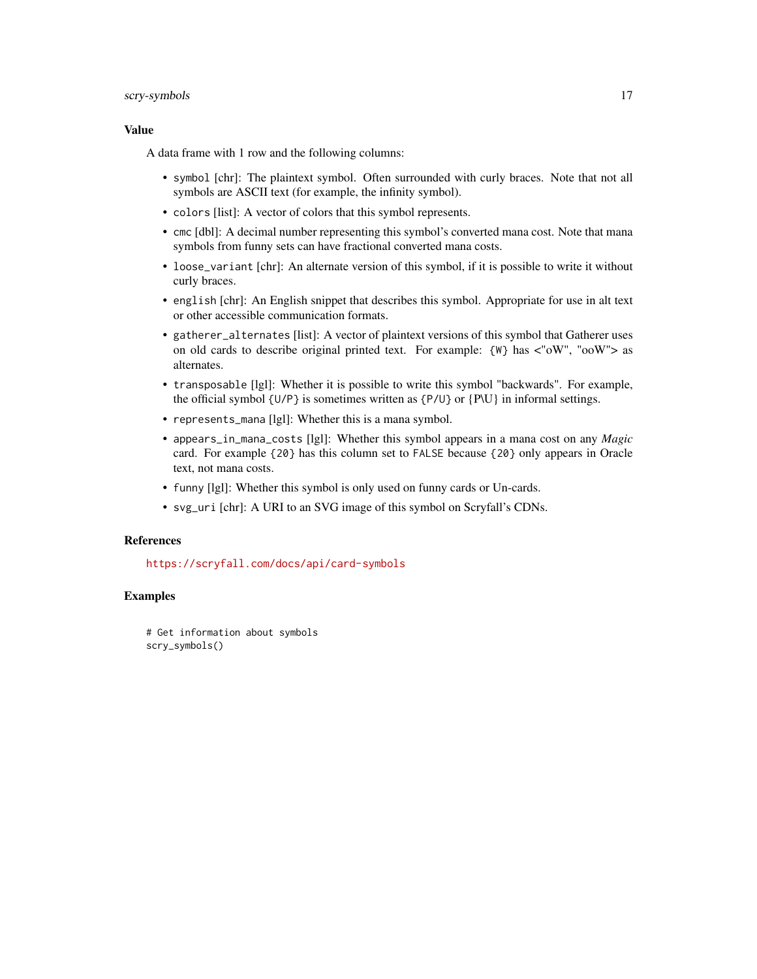## scry-symbols and the set of the set of the set of the set of the set of the set of the set of the set of the set of the set of the set of the set of the set of the set of the set of the set of the set of the set of the set

#### Value

A data frame with 1 row and the following columns:

- symbol [chr]: The plaintext symbol. Often surrounded with curly braces. Note that not all symbols are ASCII text (for example, the infinity symbol).
- colors [list]: A vector of colors that this symbol represents.
- cmc [dbl]: A decimal number representing this symbol's converted mana cost. Note that mana symbols from funny sets can have fractional converted mana costs.
- loose\_variant [chr]: An alternate version of this symbol, if it is possible to write it without curly braces.
- english [chr]: An English snippet that describes this symbol. Appropriate for use in alt text or other accessible communication formats.
- gatherer\_alternates [list]: A vector of plaintext versions of this symbol that Gatherer uses on old cards to describe original printed text. For example:  $\{W\}$  has  $\langle W''(W')\rangle$  as alternates.
- transposable [lgl]: Whether it is possible to write this symbol "backwards". For example, the official symbol  $\{U/P\}$  is sometimes written as  $\{P/U\}$  or  $\{P\}$  in informal settings.
- represents\_mana [lgl]: Whether this is a mana symbol.
- appears\_in\_mana\_costs [lgl]: Whether this symbol appears in a mana cost on any *Magic* card. For example {20} has this column set to FALSE because {20} only appears in Oracle text, not mana costs.
- funny [lgl]: Whether this symbol is only used on funny cards or Un-cards.
- svg\_uri [chr]: A URI to an SVG image of this symbol on Scryfall's CDNs.

## References

<https://scryfall.com/docs/api/card-symbols>

## Examples

# Get information about symbols scry\_symbols()